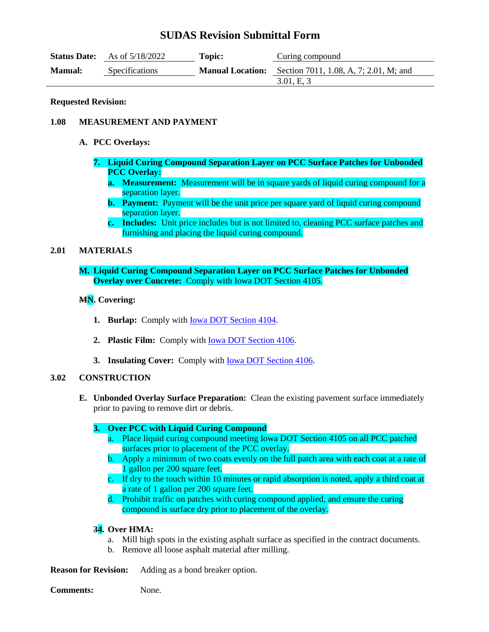# **SUDAS Revision Submittal Form**

| <b>Status Date:</b> | As of $5/18/2022$     | Topic: | Curing compound                                                              |
|---------------------|-----------------------|--------|------------------------------------------------------------------------------|
| <b>Manual:</b>      | <b>Specifications</b> |        | <b>Manual Location:</b> Section 7011, 1.08, A, 7; 2.01, M; and<br>3.01, E, 3 |

#### **Requested Revision:**

## **1.08 MEASUREMENT AND PAYMENT**

- **A. PCC Overlays:**
	- **7. Liquid Curing Compound Separation Layer on PCC Surface Patches for Unbonded PCC Overlay:**
		- **a. Measurement:** Measurement will be in square yards of liquid curing compound for a separation layer.
		- **b. Payment:** Payment will be the unit price per square yard of liquid curing compound separation layer.
		- **c. Includes:** Unit price includes but is not limited to, cleaning PCC surface patches and furnishing and placing the liquid curing compound.

## **2.01 MATERIALS**

**M. Liquid Curing Compound Separation Layer on PCC Surface Patches for Unbonded Overlay over Concrete:** Comply with Iowa DOT Section 4105.

## **MN. Covering:**

- **1. Burlap:** Comply with **Iowa DOT Section 4104**.
- **2. Plastic Film:** Comply with [Iowa DOT Section 4106.](https://www.iowadot.gov/erl/current/GS/content/4106.htm)
- **3. Insulating Cover:** Comply with [Iowa DOT Section 4106.](https://www.iowadot.gov/erl/current/GS/content/4106.htm)

## **3.02 CONSTRUCTION**

**E. Unbonded Overlay Surface Preparation:** Clean the existing pavement surface immediately prior to paving to remove dirt or debris.

## **3. Over PCC with Liquid Curing Compound**

- a. Place liquid curing compound meeting Iowa DOT Section 4105 on all PCC patched surfaces prior to placement of the PCC overlay.
- b. Apply a minimum of two coats evenly on the full patch area with each coat at a rate of 1 gallon per 200 square feet.
- c. If dry to the touch within 10 minutes or rapid absorption is noted, apply a third coat at a rate of 1 gallon per 200 square feet.
- d. Prohibit traffic on patches with curing compound applied, and ensure the curing compound is surface dry prior to placement of the overlay.

## **34. Over HMA:**

- a. Mill high spots in the existing asphalt surface as specified in the contract documents.
- b. Remove all loose asphalt material after milling.

**Reason for Revision:** Adding as a bond breaker option.

**Comments:** None.